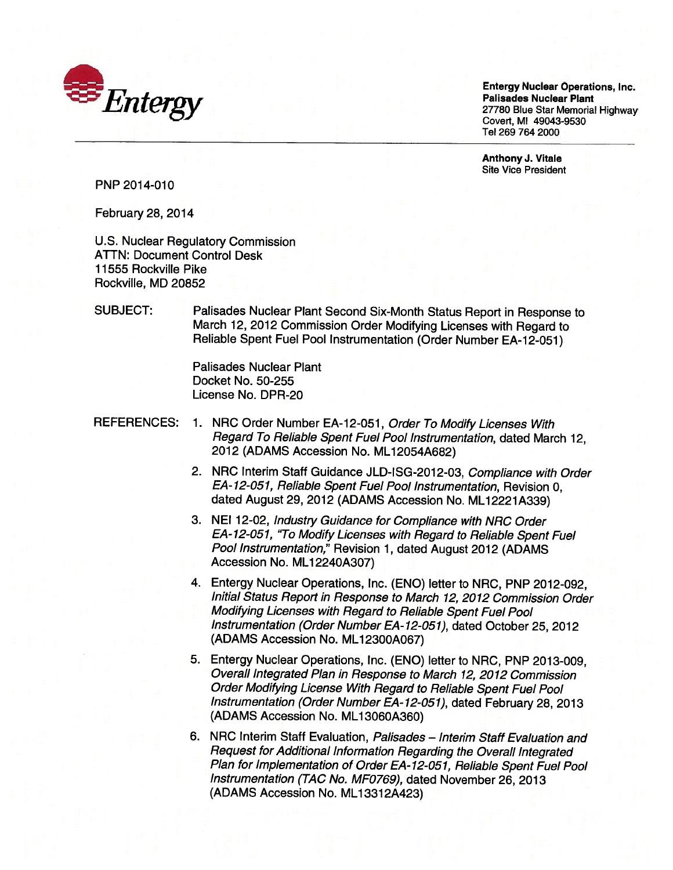

Entergy Nuclear Operations, Inc. Entergy Nuclear Operations, Inc. **WEDEN SERVICES AND ALGO STATES OF PRINCIPAL PRINCIPAL PRINCIPAL PRINCIPAL PRINCIPAL PRINCIPAL PRINCIPAL PRINCIPAL PRINCIPAL PRINCIPAL PRINCIPAL PRINCIPAL PRINCIPAL PRINCIPAL PRINCIPAL PRINCIPAL PRINCIPAL PRINCIPAL PRINCIP**  $\mathcal{I}$   $\mathcal{I}$   $\mathcal{I}$   $\mathcal{I}$   $\mathcal{I}$   $\mathcal{I}$   $\mathcal{I}$   $\mathcal{I}$   $\mathcal{I}$   $\mathcal{I}$   $\mathcal{I}$   $\mathcal{I}$   $\mathcal{I}$   $\mathcal{I}$   $\mathcal{I}$   $\mathcal{I}$   $\mathcal{I}$   $\mathcal{I}$   $\mathcal{I}$   $\mathcal{I}$   $\mathcal{I}$   $\mathcal{I}$   $\mathcal{I}$   $\mathcal{I}$   $\mathcal{$ Covert, Ml 49043-9530 Covert, MI 49043-9530 Tel 269 764 2000 Tel 269 764 2000 Palisades Nuclear Plant

> Anthony J. Vitale Anthony J. Vitale Site Vice President Site Vice President

PNP 2014-010

February 28, 2014 February 28, 2014

U.S. Nuclear Regulatory Commission ATTN: Document Control Desk ATTN: Document Control Desk 11555 Rockville Pike 11555 Rockville Pike Rockville, MD 20852 Rockville, MD 20852

SUBJECT: Palisades Nuclear Plant Second Six-Month Status Report in Response to SUBJECT: Palisades Nuclear Plant Second Six-Month Status Report in Response to March 12, <sup>2012</sup> Commission Order Modifying Licenses with Regard to March 12, 2012 Commission Order Modifying Licenses with Regard to Reliable Spent Fuel Pool Instrumentation (Order Number EA-12-051) Reliable Spent Fuel Pool Instrumentation (Order Number EA-12-051)

> Palisades Nuclear Plant Palisades Nuclear Plant Docket No. 50-255 Docket No. 50-255 License No. DPR-20 License No. DPR-20

- REFERENCES: 1. NRC Order Number EA-12-051, *Order To Modify Licenses With* Regard To Reliable Spent Fuel Pool Instrumentation, dated March 12, Regard To Reliable Spent Fuel Pool Instrumentation, dated March 12, 2012 (ADAMS Accession No. ML12054A682) 2012 (ADAMS Accession No. ML 12054A682)
	- 2. NRC Interim Staff Guidance JLD-ISG-2012-03, Compliance with Order 2. NRC Interim Staff Guidance JLD-ISG-2012-03, Compliance with Order EA- 12-051, Reliable Spent Fuel Pool Instrumentation, Revision 0, EA-12-051, Reliable Spent Fuel Pool Instrumentation, Revision 0, dated August 29, <sup>2012</sup> (ADAMS Accession No. ML12221A339) dated August 29, 2012 (ADAMS Accession No. ML 12221 A339)
	- 3. NEI 12-02, Industry Guidance for Compliance with NRC Order 3. NEI 12-02, Industry Guidance for Compliance with NRC Order EA-12-051, "To Modify Licenses with Regard to Reliable Spent Fuel EA-12-051, 'To Modify Licenses with Regard to Reliable Spent Fuel Pool Instrumentation," Revision 1, dated August 2012 (ADAMS Pool Instrumentation," Revision 1, dated August 2012 (ADAMS Accession No. ML1 2240A307) Accession No. ML 12240A307)
	- 4. Entergy Nuclear Operations, Inc. (ENO) letter to NRC, PNP 2012-092, 4. Entergy Nuclear Operations, Inc. (ENO) letter to NRC, PNP 2012-092, Initial Status Report in Response to March 12, 2012 Commission Order Initial Status Report in Response to March 12,2012 Commission Order Modifying Licenses with Regard to Reliable Spent Fuel Pool Modifying Licenses with Regard to Reliable Spent Fuel Pool Instrumentation (Order Number EA- 12-05 1), dated October 25, 2012 Instrumentation (Order Number EA-12-051), dated October 25,2012 (ADAMS Accession No. ML1 2300A067) (ADAMS Accession No. ML 12300A067)
	- 5. Entergy Nuclear Operations, Inc. (ENO) letter to NRC, PNP 2013-009, 5. Entergy Nuclear Operations, Inc. (ENO) letter to NRC, PNP 2013-009, Overall Integrated Plan in Response to March 12, 2012 Commission Overall Integrated Plan in Response to March 12,2012 Commission Order Modifying License With Regard to Reliable Spent Fuel Pool Order Modifying License With Regard to Reliable Spent Fuel Pool Instrumentation (Order Number EA- 12-05 1), dated February 28, <sup>2013</sup> Instrumentation (Order Number EA-12-051), dated February 28,2013 (ADAMS Accession No. ML13060A360) (ADAMS Accession No. ML 13060A360)
	- 6. NRC Interim Staff Evaluation, Palisades Interim Staff Evaluation and Request for Additional Information Regarding the Overall Integrated Request for Additional Information Regarding the Overall Integrated Plan for Implementation of Order EA- 12-05 1, Reliable Spent Fuel Pool Plan for Implementation of Order EA-12-051, Reliable Spent Fuel Pool Instrumentation (TAC No. MFO769), dated November 26, 2013 Instrumentation (TAC No. MF0769), dated November 26,2013 (ADAMS Accession No. ML13312A423) (ADAMS Accession No. ML 13312A423)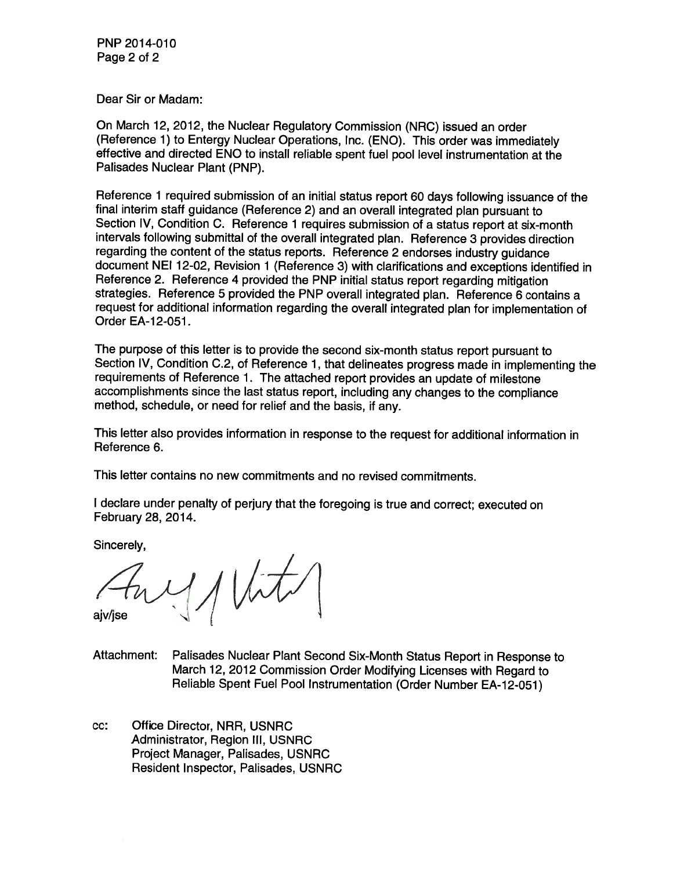PNP 2014-010 Page 2 of 2 Page 2 of 2

Dear Sir or Madam: Dear Sir or Madam:

On March 12, 2012, the Nuclear Regulatory Commission (NRC) issued an order On March 12, 2012, the Nuclear Regulatory Commission (NRC) issued an order (Reference 1) to Entergy Nuclear Operations, Inc. (ENO). This order was immediately (Reference 1) to Entergy Nuclear Operations, Inc. (END). This order was immediately effective and directed ENO to install reliable spent fuel pool level instrumentation at the effective and directed ENO to install reliable spent fuel pool level instrumentation at the Palisades Nuclear Plant (PNP). Palisades Nuclear Plant (PNP).

Reference <sup>1</sup> required submission of an initial status report 60 days following issuance of the Reference 1 required submission of an initial status report 60 days following issuance of the final interim staff guidance (Reference 2) and an overall integrated plan pursuant to final interim staff guidance (Reference 2) and an overall integrated plan pursuant to Section IV, Condition C. Reference <sup>1</sup> requires submission of a status report at six-month Section IV, Condition C. Reference 1 requires submission of a status report at six-month intervals following submittal of the overall integrated plan. Reference 3 provides direction intervals following submittal of the overall integrated plan. Reference 3 provides direction regarding the content of the status reports. Reference 2 endorses industry guidance regarding the content of the status reports. Reference 2 endorses industry guidance document NEI 12-02, Revision 1 (Reference 3) with clarifications and exceptions identified in Reference 2. Reference 4 provided the PNP initial status report regarding mitigation Reference 2. Reference 4 provided the PNP initial status report regarding mitigation strategies. Reference 5 provided the PNP overall integrated plan. Reference 6 contains a request for additional information regarding the overall integrated plan for implementation of request for additional information regarding the overall integrated plan for implementation of Order EA-12-051. Order EA-12-051 .

The purpose of this letter is to provide the second six-month status report pursuant to The purpose of this letter is to provide the second six-month status report pursuant to Section IV, Condition C.2, of Reference 1, that delineates progress made in implementing the Section IV, Condition C.2, of Reference 1, that delineates progress made in implementing the requirements of Reference 1. The attached report provides an update of milestone requirements of Reference 1. The attached report provides an update of milestone accomplishments since the last status report, including any changes to the compliance accomplishments since the last status report, including any changes to the compliance method, schedule, or need for relief and the basis, if any. method, schedule, or need for relief and the basis, if any.

This letter also provides information in response to the request for additional information in This letter also provides information in response to the request for additional information in Reference 6. Reference 6.

This letter contains no new commitments and no revised commitments. This letter contains no new commitments and no revised commitments.

<sup>I</sup> declare under penalty of perjury that the foregoing is true and correct; executed on I declare under penalty of perjury that the foregoing is true and correct; executed on February 28, 2014. February 28, 2014.

Sincerely, Sincerely,

ajv/jse 4/)/{

Attachment: Palisades Nuclear Plant Second Six-Month Status Report in Response to Attachment: Palisades Nuclear Plant Second Six-Month Status Report in Response to March 12, 2012 Commission Order Modifying Licenses with Regard to March 12, 2012 Commission Order Modifying Licenses with Regard to Reliable Spent Fuel Pool Instrumentation (Order Number EA-12-051) Reliable Spent Fuel Pool Instrumentation (Order Number EA-12-051)

cc: Office Director, NRR, USNRC cc: Office Director, NRR, USNRC Administrator, Region Ill, USNRC Administrator, Region III, USNRC Project Manager, Palisades, USNRC Project Manager, Palisades, USNRC Resident Inspector, Palisades, USNRC Resident Inspector, Palisades, USNRC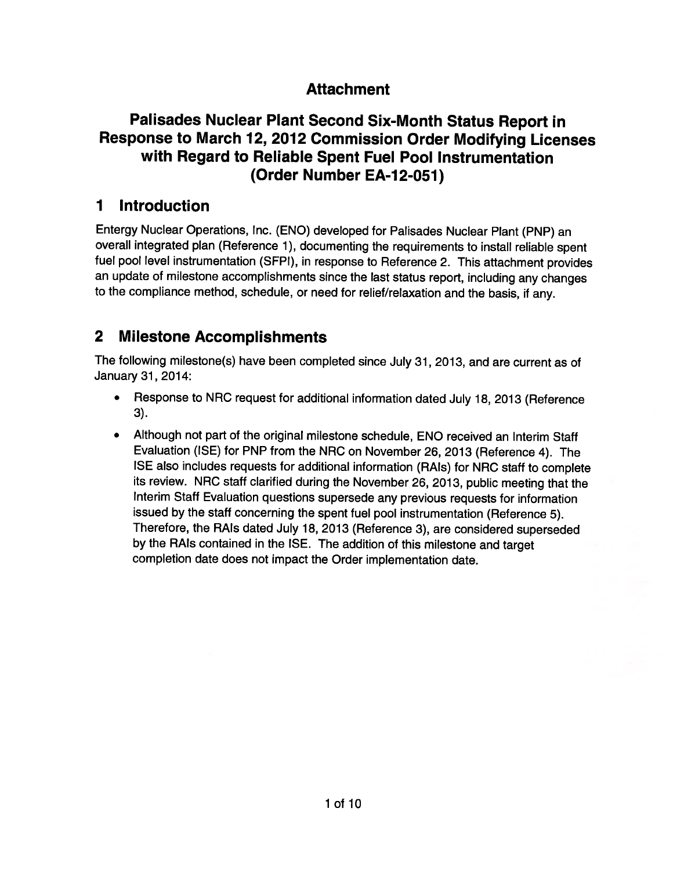## Attachment **Attachment**

## Palisades Nuclear Plant Second Six-Month Status Report in **Palisades Nuclear Plant Second Six-Month Status Report in**  Response to March 12, <sup>2012</sup> Commission Order Modifying Licenses **Response to March 12, 2012 Commission Order Modifying Licenses**  with Regard to Reliable Spent Fuel Pool Instrumentation **with Regard to Reliable Spent Fuel Pool Instrumentation**  (Order Number EA-12-051) **(Order Number EA-12-0S1)**

## 1 Introduction **1 Introduction**

Entergy Nuclear Operations, Inc. (ENO) developed for Palisades Nuclear Plant (PNP) an Entergy Nuclear Operations, Inc. (ENO) developed for Palisades Nuclear Plant (PNP) an overall integrated plan (Reference 1), documenting the requirements to install reliable spent fuel poo<sup>l</sup> level instrumentation (SFPI), in response to Reference 2. This attachment provides fuel pool level instrumentation (SFPI), in response to Reference 2. This attachment provides an update of milestone accomplishments since the last status report, including any changes an update of milestone accomplishments since the last status report, including any changes to the compliance method, schedule, or need for relief/relaxation and the basis, if any. to the compliance method, schedule, or need for relief/relaxation and the basis, if any.

## 2 Milestone Accomplishments **2 Milestone Accomplishments**

The following milestone(s) have been completed since July 31, 2013, and are current as of The following milestone(s) have been completed since July 31,2013, and are current as of January 31, 2014: January 31 , 2014:

- • Response to NRC request for additional information dated July 18, <sup>2013</sup> (Reference • Response to NRC request for additional information dated July 18, 2013 (Reference 3). 3).
- • Although not part of the original milestone schedule, ENO received an Interim Staff • Although not part of the original milestone schedule, ENO received an Interim Staff Evaluation (ISE) for PNP from the NRC on November 26, <sup>2013</sup> (Reference 4). The Evaluation (ISE) for PNP from the NRC on November 26,2013 (Reference 4). The ISE also includes requests for additional information (RAIs) for NRC staff to complete ISE also includes requests for additional information (RAls) for NRC staff to complete its review. NRC staff clarified during the November 26, 2013, public meeting that the Interim Staff Evaluation questions supersede any previous requests for information Interim Staff Evaluation questions supersede any previous requests for information issued by the staff concerning the spent fuel poo<sup>l</sup> instrumentation (Reference 5). issued by the staff concerning the spent fuel pool instrumentation (Reference 5). Therefore, the RAIs dated July 18, <sup>2013</sup> (Reference 3), are considered superseded Therefore, the RAls dated July 18, 2013 (Reference 3), are considered superseded by the RAIs contained in the ISE. The addition of this milestone and target by the RAls contained in the ISE. The addition of this milestone and target completion date does not impact the Order implementation date. completion date does not impact the Order implementation date.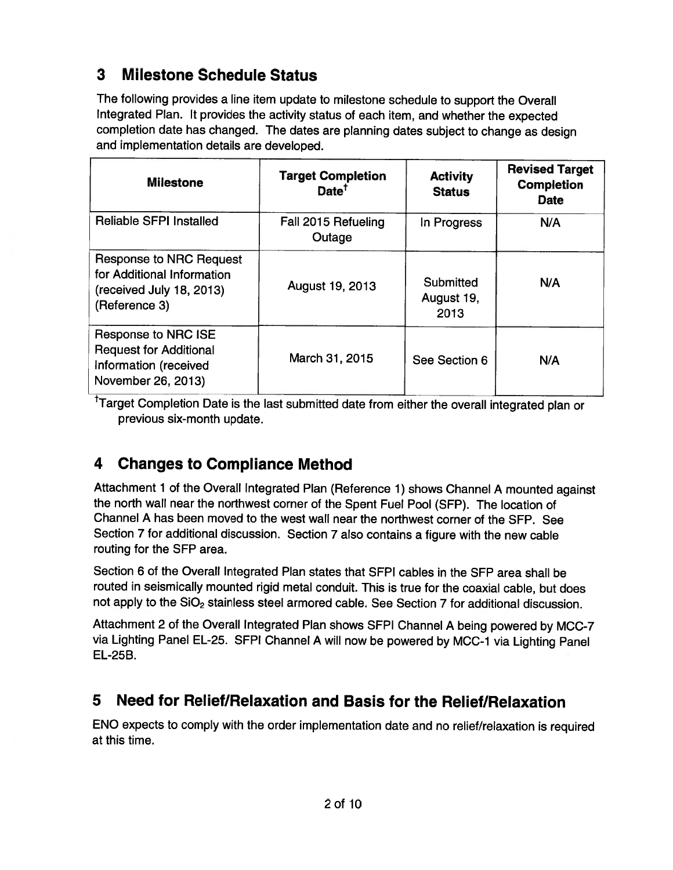# 3 Milestone Schedule Status **3 Milestone Schedule Status**

The following provides <sup>a</sup> line item update to milestone schedule to support the Overall The following provides a line item update to milestone schedule to support the Overall Integrated Plan. It provides the activity status of each item, and whether the expected Integrated Plan. It provides the activity status of each item, and whether the expected completion date has changed. The dates are <sup>p</sup>lanning dates subject to change as design completion date has changed. The dates are planning dates subject to change as design and implementation details are developed. and implementation details are developed.

| <b>Milestone</b>                                                                                          | <b>Target Completion</b><br>Date <sup>T</sup> | <b>Activity</b><br><b>Status</b> | <b>Revised Target</b><br><b>Completion</b><br><b>Date</b> |
|-----------------------------------------------------------------------------------------------------------|-----------------------------------------------|----------------------------------|-----------------------------------------------------------|
| Reliable SFPI Installed                                                                                   | Fall 2015 Refueling<br>Outage                 | In Progress                      | N/A                                                       |
| <b>Response to NRC Request</b><br>for Additional Information<br>(received July 18, 2013)<br>(Reference 3) | August 19, 2013                               | Submitted<br>August 19,<br>2013  | N/A                                                       |
| Response to NRC ISE<br><b>Request for Additional</b><br>Information (received<br>November 26, 2013)       | March 31, 2015                                | See Section 6                    | N/A                                                       |

<sup>†</sup>Target Completion Date is the last submitted date from either the overall integrated plan or previous six-month update. previous six-month update.

# 4 Changes to Compliance Method **4 Changes to Compliance Method**

Attachment <sup>1</sup> of the Overall Integrated Plan (Reference 1) shows Channel <sup>A</sup> mounted against Attachment 1 of the Overall Integrated Plan (Reference 1) shows Channel A mounted against the north wall near the northwest corner of the Spent Fuel Pool (SFP). The location of the north wall near the northwest corner of the Spent Fuel Pool (SFP). The location of Channel A has been moved to the west wall near the northwest corner of the SFP. See Channel A has been moved to the west wall near the northwest corner of the SFP. See Section <sup>7</sup> for additional discussion. Section <sup>7</sup> also contains <sup>a</sup> figure with the new cable Section 7 for additional discussion. Section 7 also contains a figure with the new cable routing for the SFP area. routing for the SFP area.

Section <sup>6</sup> of the Overall Integrated Plan states that SFPI cables in the SFP area shall be Section 6 of the Overall Integrated Plan states that SFPI cables in the SFP area shall be routed in seismically mounted rigid metal conduit. This is true for the coaxial cable, but does routed in seismically mounted rigid metal conduit. This is true for the coaxial cable, but does not apply to the SiO<sub>2</sub> stainless steel armored cable. See Section 7 for additional discussion.

Attachment <sup>2</sup> of the Overall Integrated Plan shows SFPI Channel <sup>A</sup> being powered by MCC-7 Attachment 2 of the Overall Integrated Plan shows SFPI Channel A being powered by MCC-7 via Lighting Panel EL-25. SFPI Channel A will now be powered by MCC-1 via Lighting Panel EL-25B. EL-25B.

# 5 Need for Relief/Relaxation and Basis for the Relief/Relaxation **5 Need for Relief/Relaxation and Basis for the Relief/Relaxation**

ENO expects to comply with the order implementation date and no relief/relaxation is required ENO expects to comply with the order implementation date and no relief/relaxation is required at this time. at this time.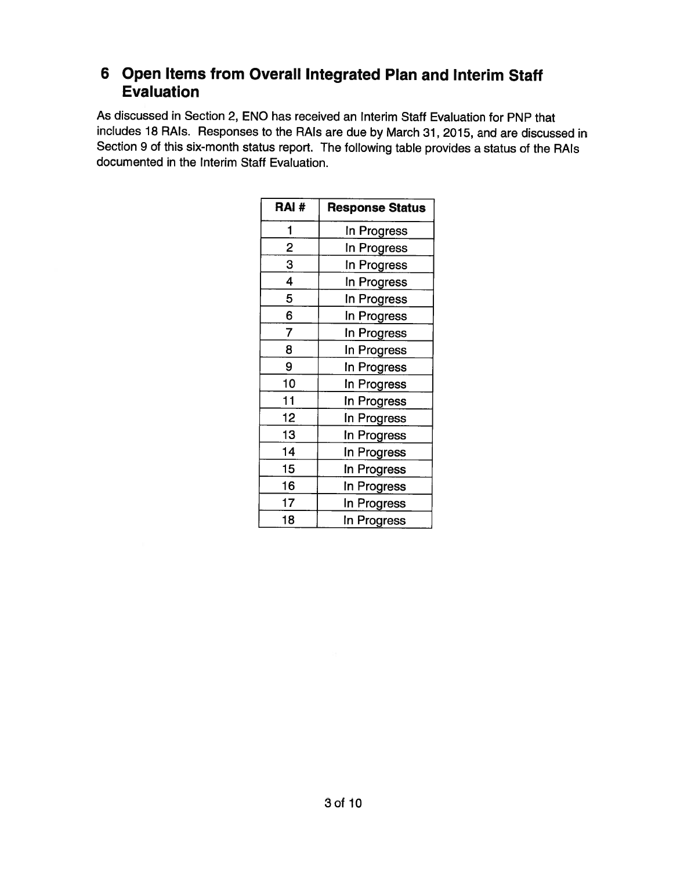## <sup>6</sup> Open Items from Overall Integrated Plan and Interim Staff **6 Open Items from** Overall Integrated **Plan and Interim Staff**  Evaluation **Evaluation**

As discussed in Section 2, ENO has received an Interim Staff Evaluation for PNP that As discussed in Section 2, ENO has received an Interim Staff Evaluation for PNP that includes <sup>18</sup> RAIs. Responses to the RAIs are due by March 31, 2015, and are discussed in includes 18 RAls. Responses to the RAls are due by March 31,2015, and are discussed in Section <sup>9</sup> of this six-month status report. The following table provides <sup>a</sup> status of the RAIs Section 9 of this six-month status report. The following table provides a status of the RAls documented in the Interim Staff Evaluation. documented in the Interim Staff Evaluation.

| RAI#           | <b>Response Status</b> |
|----------------|------------------------|
| 1              | In Progress            |
| $\overline{2}$ | In Progress            |
| 3              | In Progress            |
| 4              | In Progress            |
| 5              | In Progress            |
| 6              | In Progress            |
| 7              | In Progress            |
| 8              | In Progress            |
| 9              | In Progress            |
| 10             | In Progress            |
| 11             | In Progress            |
| 12             | In Progress            |
| 13             | In Progress            |
| 14             | In Progress            |
| 15             | In Progress            |
| 16             | In Progress            |
| 17             | In Progress            |
| 18             | In Progress            |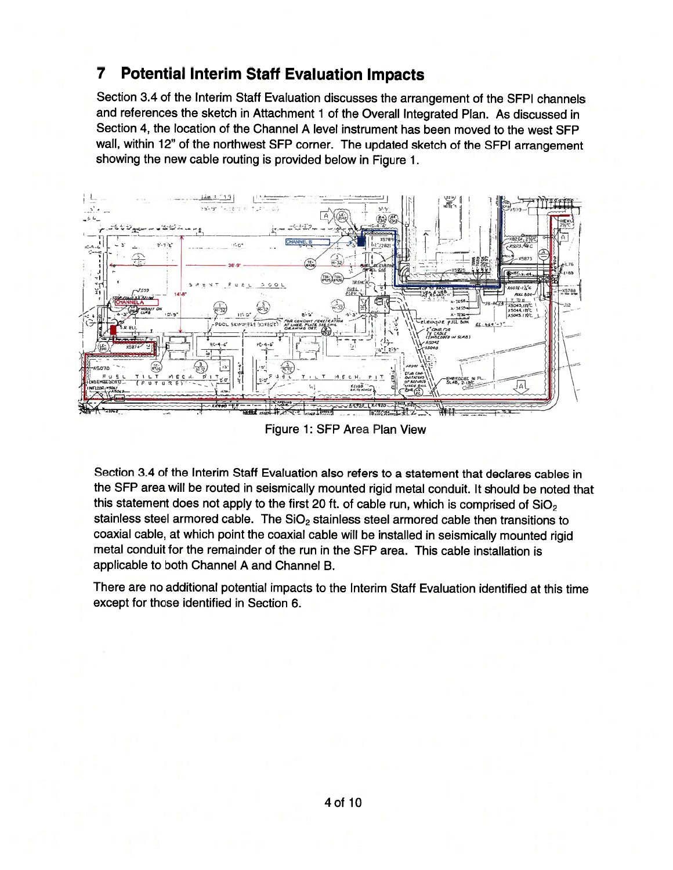## <sup>7</sup> Potential Interim Staff Evaluation Impacts **7** Potential Interim **Staff Evaluation Impacts**

Section 3.4 of the Interim Staff Evaluation discusses the arrangement of the SFPI channels Section 3.4 of the Interim Staff Evaluation discusses the arrangement of the SFPI channels and references the sketch in Attachment <sup>1</sup> of the Overall Integrated Plan. As discussed in and references the sketch in Attachment 1 of the Overall Integrated Plan. As discussed in Section 4, the location of the Channel A level instrument has been moved to the west SEP Section 4, the location of the Channel A level instrument has been moved to the west SFP waIl, within 12" of the northwest SEP corner. The updated sketch of the SFPI arrangement wall, within 12" of the northwest SFP corner. The updated sketch of the SFPI arrangement showing the new cable routing is provided below in Figure 1. showing the new cable routing is provided below in Figure 1.



Figure 1: SEP Area Plan View Figure 1: SFP Area Plan View

Section 3.4 of the Interim Staff Evaluation also refers to a statement that declares cables in Section 3.4 of the Interim Staff Evaluation also refers to a statement that declares cables in bection 5.4 of the interim Stati Evaluation also refers to a statement that declares cables in<br>the SFP area will be routed in seismically mounted rigid metal conduit. It should be noted that<br>this statement does not apply t the SFP area will be routed in seismically mounted rigid metal conduit. It should be noted<br>this statement does not apply to the first 20 ft. of cable run, which is comprised of SiO<sub>2</sub><br>stainless steel armored cable. The SiO coaxial cable, at which point the coaxial cable will be installed in seismically mounted rigid coaxial cable, at which point the coaxial cable will be installed in seismically mounted rigid metal conduit for the remainder of the run in the SEP area. This cable installation is metal conduit for the remainder of the run in the SFP area. This cable installation is applicable to both Channel A and Channel B. applicable to both Channel A and Channel B. the SFP area will be routed in seismically mounted rigid metal conduit. It should be noted that this statement does not apply to the first 20 ft. of cable run, which is comprised of SiO $_{\rm 2}$ stainless steel armored cable. The  $SiO<sub>2</sub>$  stainless steel armored cable then transitions to

There are no additional potential impacts to the Interim Staff Evaluation identified at this time There are no additional potential impacts to the Interim Staff Evaluation identified at this time except for those identified in Section 6. except for those identified in Section 6.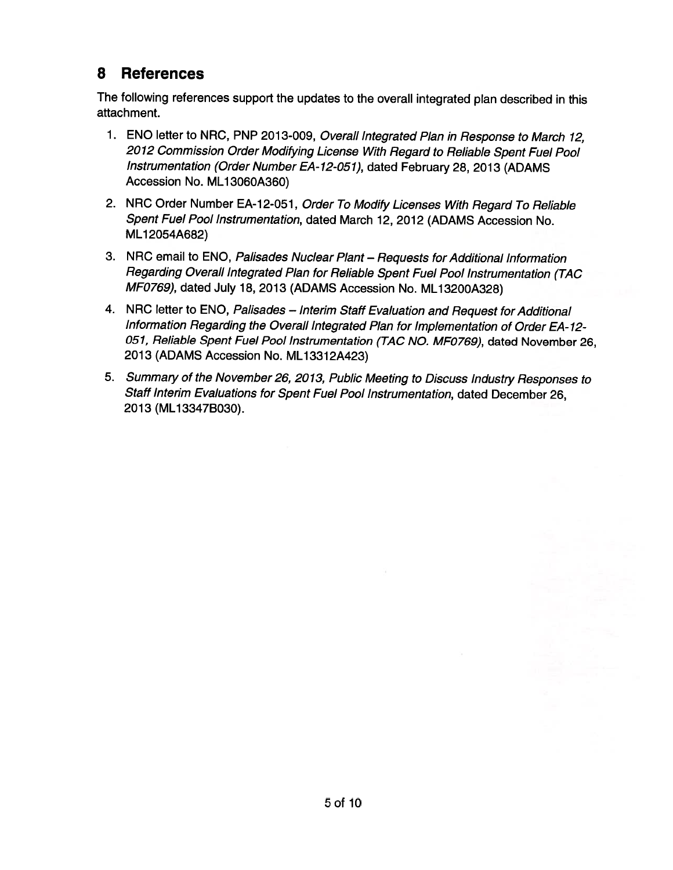# 8 References **8 References**

The following references support the updates to the overall integrated <sup>p</sup>lan described in this The following references support the updates to the overall integrated plan described in this attachment. attachment.

- 1. ENO letter to NRC, PNP 2013-009, Overall Integrated Plan in Response to March 12, 1. ENO letter to NRC, PNP 2013-009, Overall Integrated Plan in Response to March 12, <sup>2012</sup> Commission Order Modifying License With Regard to Reliable Spent Fuel Pool 2012 Commission Order Modifying License With Regard to Reliable Spent Fuel Pool Instrumentation (Order Number EA- 12-051), dated February 28, <sup>2013</sup> (ADAMS Instrumentation (Order Number EA-12-051), dated February 28,2013 (ADAMS Accession No. ML1 3060A360) Accession No. ML 13060A360)
- 2. NRC Order Number EA-12-051, Order To Modify Licenses With Regard To Reliable 2. NRC Order Number EA-12-051, Order To Modify Licenses With Regard To Reliable Spent Fuel Pool Instrumentation, dated March 12, 2012 (ADAMS Accession No. Spent Fuel Pool Instrumentation, dated March 12,2012 (ADAMS Accession No. ML1 2054A682) ML 12054A682)
- 3. NRC email to ENO, Palisades Nuclear Plant Requests for Additional Information 3. NRC email to ENO, Palisades Nuclear Plant Requests for Additional Information Regarding Overall Integrated Plan for Rellable Spent Fuel Pool Instrumentation (TAC Regarding Overall Integrated Plan for Reliable Spent Fuel Pool Instrumentation (TAC MFO769), dated July 18, <sup>2013</sup> (ADAMS Accession No. ML13200A328) MF0769), dated July 18, 2013 (ADAMS Accession No. ML 13200A328)
- 4. NRC letter to ENO, Palisades Interim Staff Evaluation and Request for Additional Information Regarding the Overall Integrated Plan for Implementation of Order EA- 12- Information Regarding the Overall Integrated Plan for Implementation of Order EA-12- 051, Reliable Spent Fuel Pool Instrumentation (TAC NO. MF0769), dated November 26, 051, Reliable Spent Fuel Pool Instrumentation (TAC NO. MF0769), dated November 26, 2013 (ADAMS Accession No. ML1 331 2A423) 2013 (ADAMS Accession No. ML 13312A423)
- 5. Summaiy of the November26, 2013, Publlc Meeting to Discuss Industry Responses to 5. Summary of the November 26, 2013, Public Meeting to Discuss Industry Responses to Staff Interim Evaluations for Spent Fuel Pool Instrumentation, dated December 26, Staff Interim Evaluations for Spent Fuel Pool Instrumentation, dated December 26, 2013 (ML1 3347B030). 2013 (ML 133478030).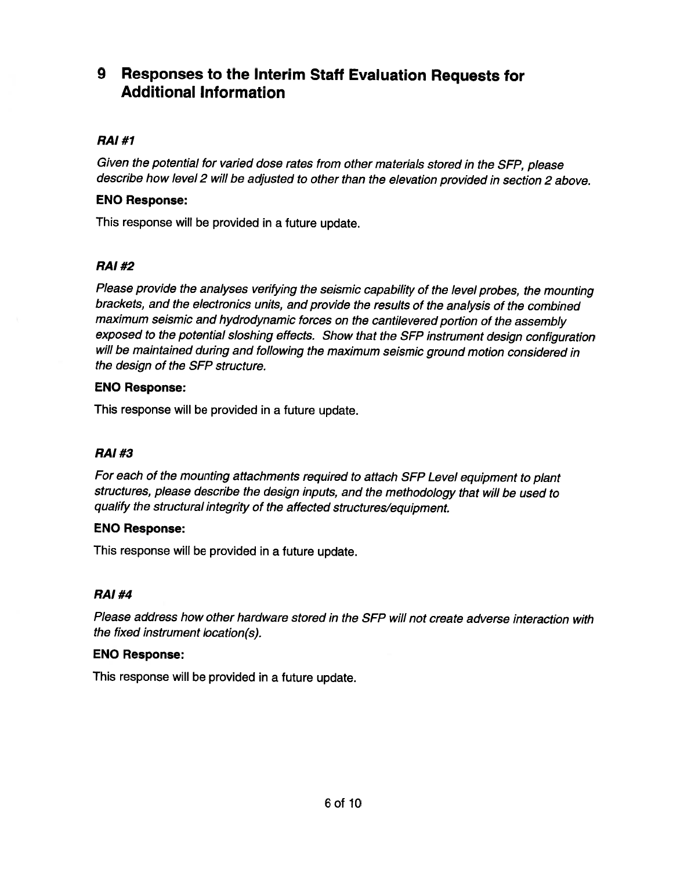## <sup>9</sup> Responses to the Interim Staff Evaluation Requests for **9 Responses to the Interim Staff Evaluation Requests for**  Additional Information **Additional Information**

## RAI #1 **RAI#1**

Given the potential for varied dose rates from other materials stored in the SFP, <sup>p</sup>lease Given the potential for varied dose rates from other materials stored in the SFP, please describe how level <sup>2</sup> will be adjusted to other than the elevation provided in section <sup>2</sup> above. describe how level 2 will be adjusted to other than the elevation provided in section 2 above.

### ENO Response: **ENO Response:**

This response will be provided in <sup>a</sup> future update. This response will be provided in a future update.

### RAI #2 **RAI#2**

Please provide the analyses verifying the seismic capability of the level probes, the mounting Please provide the analyses verifying the seismic capability of the level probes, the mounting brackets, and the electronics units, and provide the results of the analysis of the combined brackets, and the electronics units, and provide the results of the analysis of the combined maximum seismic and hydrodynamic forces on the cantilevered portion of the assembly maximum seismic and hydrodynamic forces on the cantilevered portion of the assembly exposed to the potential sloshing effects. Show that the SFP instrument design configuration exposed to the potential sloshing effects. Show that the SFP instrument design configuration will be maintained during and following the maximum seismic ground motion considered in will be maintained during and following the maximum seismic ground motion considered in the design of the SFP structure. the design of the SFP structure.

#### ENO Response: **ENO Response:**

This response will be provided in <sup>a</sup> future update. This response will be provided in a future update.

## RAI#3 **RAI#3**

For each of the mounting attachments required to attach SFP Level equipment to <sup>p</sup>lant For each of the mounting attachments required to attach SFP Level equipment to plant structures, <sup>p</sup>lease describe the design inputs, and the methodology that will be used to structures, please describe the design inputs, and the methodology that will be used to qualify the structural integrity of the affected structures/equipment. qualify the structural integrity of the affected structures/equipment.

#### ENO Response: **ENO Response:**

This response will be provided in <sup>a</sup> future update. This response will be provided in a future update.

## RAI #4 **RAI#4**

Please address how other hardware stored in the SFP will not create adverse interaction with Please address how other hardware stored in the SFP will not create adverse interaction with the fixed instrument location(s). the fixed instrument location(s).

#### ENO Response: **ENO Response:**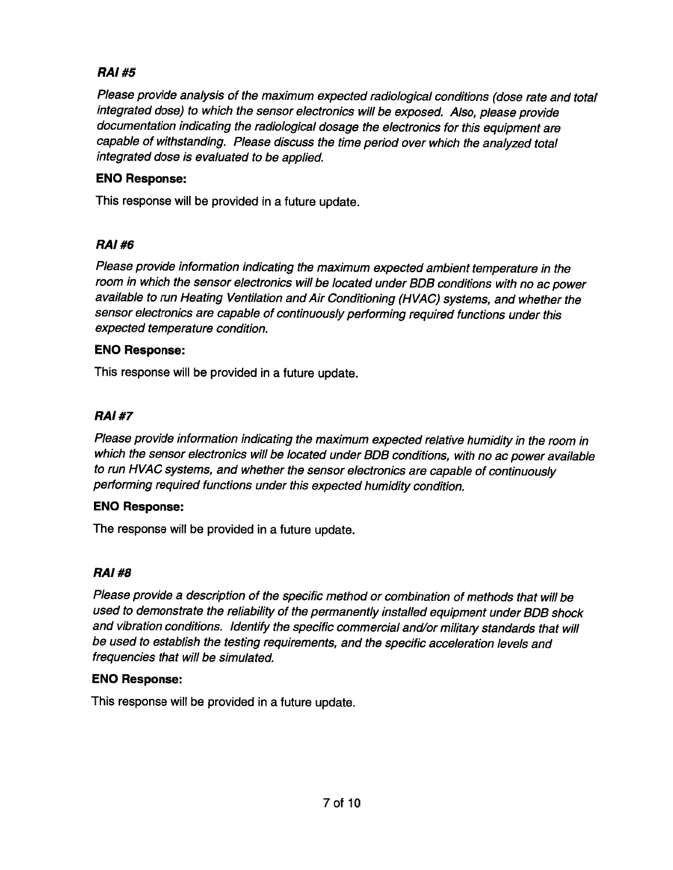## RAI #5 **RAI#5**

Please provide analysis of the maximum expected radiological conditions (dose rate and total Please provide analysis of the maximum expected radiological conditions (dose rate and total integrated dose) to which the sensor electronics will be exposed. Also, <sup>p</sup>lease provide integrated dose) to which the sensor electronics will be exposed. Also, please provide documentation indicating the radiological dosage the electronics for this equipment are documentation indicating the radiological dosage the electronics for this equipment are capable of withstanding. Please discuss the time period over which the analyzed total capable of withstanding. Please discuss the time period over which the analyzed total integrated dose is evaluated to be applied. integrated dose is evaluated to be applied.

#### ENO Response: **ENO Response:**

This response will be provided in <sup>a</sup> future update. This response will be provided in a future update.

## RAI #6 **RAI#6**

Please provide information indicating the maximum expected ambient temperature in the Please provide information indicating the maximum expected ambient temperature in the room in which the sensor electronics will be located under BDB conditions with no ac power available to run Heating Ventilation and Air Conditioning (HVAC) systems, and whether the available to run Heating Ventilation and Air Conditioning (HVAC) systems, and whether the sensor electronics are capable of continuously performing required functions under this sensor electronics are capable of continuously performing required functions under this expected temperature condition. expected temperature condition.

### ENO Response: **ENO Response:**

This response will be provided in <sup>a</sup> future update. This response will be provided in a future update.

## RAI #7 **RAI#7**

Please provide information indicating the maximum expected relative humidity in the room in Please provide information indicating the maximum expected relative humidity in the room in which the sensor electronics will be located under BDB conditions, with no ac power available which the sensor electronics will be located under BOB conditions, with no ac power available to run HVAC systems, and whether the sensor electronics are capable of continuously to run HVAC systems, and whether the sensor electronics are capable of continuously performing required functions under this expected humidity condition. performing required functions under this expected humidity condition.

## ENO Response: **ENO Response:**

The response will be provided in <sup>a</sup> future update. The response will be provided in a future update.

## RAI #8 **RAI#8**

Please provide <sup>a</sup> description of the specific method or combination of methods that will be Please provide a description of the specific method or combination of methods that will be used to demonstrate the reliability of the permanently installed equipment under BDB shock used to demonstrate the reliability of the permanently installed equipment under BDB shock and vibration conditions. Identify the specific commercial and/or military standards that will and vibration conditions. Identify the specific commercial andlor military standards that will be used to establish the testing requirements, and the specific acceleration levels and be used to establish the testing requirements, and the specific acceleration levels and frequencies that will be simulated. frequencies that will be simulated.

#### ENO Response: **ENO Response:**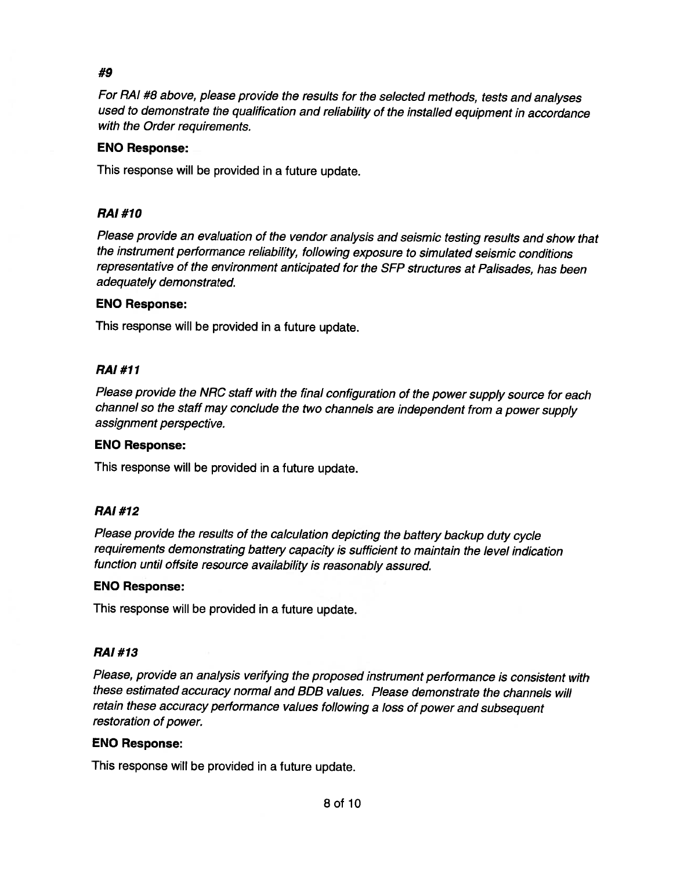## #9 #9

For RAI #8 above, <sup>p</sup>lease provide the results for the selected methods, tests and analyses For RAI #8 above, please provide the results for the selected methods, tests and analyses used to demonstrate the qualification and reliability of the installed equipment in accordance used to demonstrate the qualification and reliability of the installed equipment in accordance with the Order requirements. with the Order requirements.

#### ENO Response: **ENO Response:**

This response will be provided in <sup>a</sup> future update. This response will be provided in a future update.

### RAI#1O **RAI#10**

Please provide an evaluation of the vendor analysis and seismic testing results and show that Please provide an evaluation of the vendor analysis and seismic testing results and show that the instrument performance reliability, following exposure to simulated seismic conditions the instrument performance reliability, following exposure to simulated seismic conditions representative of the environment anticipated for the SFP structures at Palisades, has been representative of the environment anticipated for the SFP structures at Palisades, has been adequately demonstrated. adequately demonstrated.

#### ENO Response: **ENO Response:**

This response will be provided in <sup>a</sup> future update. This response will be provided in a future update.

### RAI #11 **RAI#11**

Please provide the NRC staff with the final configuration of the power supply source for each Please provide the NRC staff with the final configuration of the power supply source for each channel so the staff may conclude the two channels are independent from <sup>a</sup> power supply channel so the staff may conclude the two channels are independent from a power supply assignment perspective. assignment perspective.

#### ENO Response: **ENO Response:**

This response will be provided in <sup>a</sup> future update. This response will be provided in a future update.

#### RAI #12 **RAI#12**

Please provide the results of the calculation depicting the battery backup duty cycle Please provide the results of the calculation depicting the battery backup duty cycle requirements demonstrating battery capacity is sufficient to maintain the level indication requirements demonstrating battery capacity is sufficient to maintain the level indication function until offsite resource availability is reasonably assured. function until offsite resource availability is reasonably assured.

#### ENO Response: **ENO Response:**

This response will be provided in <sup>a</sup> future update. This response will be provided in a future update.

#### RAI#13 **RAJ #13**

Please, provide an analysis verifying the proposed instrument performance is consistent with Please, provide an analysis verifying the proposed instrument performance is consistent with these estimated accuracy normal and BDB values. Please demonstrate the channels will these estimated accuracy normal and BOB values. Please demonstrate the channels will retain these accuracy performance values following <sup>a</sup> loss of power and subsequent retain these accuracy performance values following a loss of power and subsequent restoration of power. restoration of power.

#### ENO Response: **ENO Response:**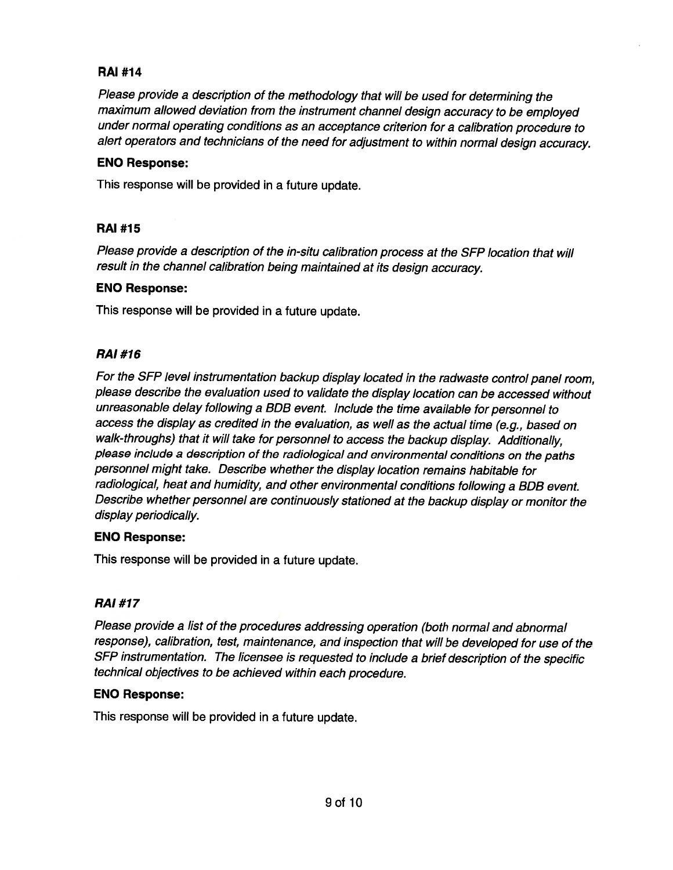### RAI #14 **RAI #14**

Please provide a description of the methodology that will be used for determining the maximum allowed deviation from the instrument channel design accuracy to be employed maximum allowed deviation from the instrument channel design accuracy to be employed under normal operating conditions as an acceptance criterion for <sup>a</sup> calibration procedure to under normal operating conditions as an acceptance criterion for a calibration procedure to alert operators and technicians of the need for adjustment to within normal design accuracy. alert operators and technicians of the need for adjustment to within normal design accuracy.

#### ENO Response: **ENO Response:**

This response will be provided in <sup>a</sup> future update. This response will be provided in a future update.

### RAI #15 **RAI #15**

Please provide a description of the in-situ calibration process at the SFP location that will result in the channel calibration being maintained at its design accuracy. result in the channel calibration being maintained at its design accuracy.

#### ENO Response: **ENO Response:**

This response will be provided in <sup>a</sup> future update. This response will be provided in a future update.

## RAI#16 **RAI#16**

For the SFP level instrumentation backup display located in the radwaste control panel room, For the SFP level instrumentation backup display located in the radwaste control panel room, <sup>p</sup>lease describe the evaluation used to validate the display location can be accessed without please describe the evaluation used to validate the display location can be accessed without unreasonable delay following <sup>a</sup> BDB event. Include the time available for personnel to unreasonable delay following a BOB event. Include the time available for personnel to access the display as credited in the evaluation, as well as the actual time (e.g., based on access the display as credited in the evaluation, as well as the actual time (e.g., based on walk-throughs) that it will take for personnel to access the backup display. Additionally, walk-throughs) that it will take for personnel to access the backup display. Additionally, <sup>p</sup>lease include <sup>a</sup> description of the radiological and environmental conditions on the paths please include a description of the radiological and environmental conditions on the paths personnel might take. Describe whether the display location remains habitable for personnel might take. Describe whether the display location remains habitable for radiological, heat and humidity, and other environmental conditions following <sup>a</sup> BDB event. radiological, heat and humidity, and other environmental conditions following a BOB event. Describe whether personnel are continuously stationed at the backup display or monitor the Describe whether personnel are continuously stationed at the backup display or monitor the display periodically. display periodically.

#### ENO Response: **ENO Response:**

This response will be provided in <sup>a</sup> future update. This response will be provided in a future update.

## RAI#17 **RAI#17**

Please provide <sup>a</sup> list of the procedures addressing operation (both normal and abnormal Please provide a list of the procedures addressing operation (both normal and abnormal response), calibration, test, maintenance, and inspection that will be developed for use of the response), calibration, test, maintenance, and inspection that will be developed for use of the SFP instrumentation. The licensee is requested to include a brief description of the specific technical objectives to be achieved within each procedure. technical objectives to be achieved within each procedure.

#### ENO Response: **ENO Response:**